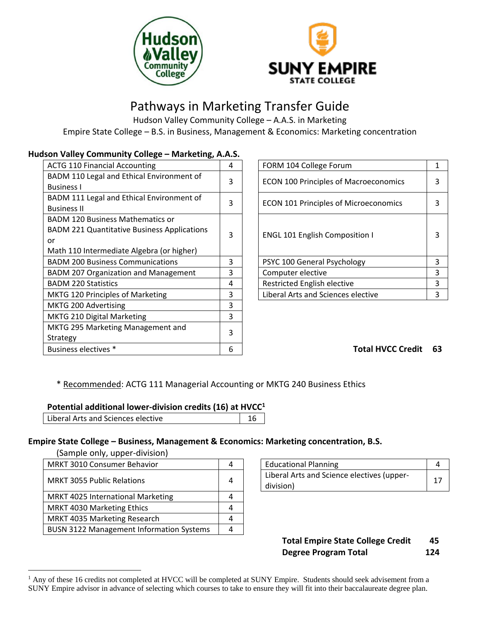



# Pathways in Marketing Transfer Guide

Hudson Valley Community College – A.A.S. in Marketing Empire State College – B.S. in Business, Management & Economics: Marketing concentration

## **Hudson Valley Community College – Marketing, A.A.S.**

| <b>ACTG 110 Financial Accounting</b>               | 4 | FORM 104 College Forum                       | 1  |
|----------------------------------------------------|---|----------------------------------------------|----|
| BADM 110 Legal and Ethical Environment of          | 3 | <b>ECON 100 Principles of Macroeconomics</b> | 3  |
| <b>Business I</b>                                  |   |                                              |    |
| BADM 111 Legal and Ethical Environment of          | 3 | <b>ECON 101 Principles of Microeconomics</b> | 3  |
| <b>Business II</b>                                 |   |                                              |    |
| <b>BADM 120 Business Mathematics or</b>            |   |                                              |    |
| <b>BADM 221 Quantitative Business Applications</b> | 3 | <b>ENGL 101 English Composition I</b>        | 3  |
| or                                                 |   |                                              |    |
| Math 110 Intermediate Algebra (or higher)          |   |                                              |    |
| <b>BADM 200 Business Communications</b>            | 3 | PSYC 100 General Psychology                  | 3  |
| <b>BADM 207 Organization and Management</b>        | 3 | Computer elective                            | 3  |
| <b>BADM 220 Statistics</b>                         | 4 | Restricted English elective                  | 3  |
| MKTG 120 Principles of Marketing                   | 3 | Liberal Arts and Sciences elective           | 3  |
| MKTG 200 Advertising                               | 3 |                                              |    |
| <b>MKTG 210 Digital Marketing</b>                  | 3 |                                              |    |
| MKTG 295 Marketing Management and                  | 3 |                                              |    |
| Strategy                                           |   |                                              |    |
| Business electives *                               | 6 | <b>Total HVCC Credit</b>                     | 63 |
|                                                    |   |                                              |    |

| 4              | FORM 104 College Forum                       |   |
|----------------|----------------------------------------------|---|
| 3              | <b>ECON 100 Principles of Macroeconomics</b> |   |
| 3              | <b>ECON 101 Principles of Microeconomics</b> |   |
| 3              | <b>ENGL 101 English Composition I</b>        | 3 |
|                | PSYC 100 General Psychology                  | 3 |
| $\frac{3}{4}$  | Computer elective                            | 3 |
|                | Restricted English elective                  | ર |
| $\overline{3}$ | Liberal Arts and Sciences elective           |   |

## Business electives \* 6 **Total HVCC Credit 63**

\* Recommended: ACTG 111 Managerial Accounting or MKTG 240 Business Ethics

### **Potential additional lower-division credits (16) at HVCC<sup>1</sup>**

| Liberal Arts and Sciences elective |  |
|------------------------------------|--|
|------------------------------------|--|

### **Empire State College – Business, Management & Economics: Marketing concentration, B.S.**

(Sample only, upper-division)

 $\overline{a}$ 

| MRKT 3010 Consumer Behavior                     | 4 | <b>Educational Planning</b>                             | 4 |
|-------------------------------------------------|---|---------------------------------------------------------|---|
| <b>MRKT 3055 Public Relations</b>               | 4 | Liberal Arts and Science electives (upper-<br>division) | 1 |
| MRKT 4025 International Marketing               |   |                                                         |   |
| MRKT 4030 Marketing Ethics                      |   |                                                         |   |
| MRKT 4035 Marketing Research                    |   |                                                         |   |
| <b>BUSN 3122 Management Information Systems</b> | Δ |                                                         |   |

| <b>Educational Planning</b>                             |  |
|---------------------------------------------------------|--|
| Liberal Arts and Science electives (upper-<br>division) |  |

# **Total Empire State College Credit 45 Degree Program Total 124**

 $<sup>1</sup>$  Any of these 16 credits not completed at HVCC will be completed at SUNY Empire. Students should seek advisement from a</sup> SUNY Empire advisor in advance of selecting which courses to take to ensure they will fit into their baccalaureate degree plan.